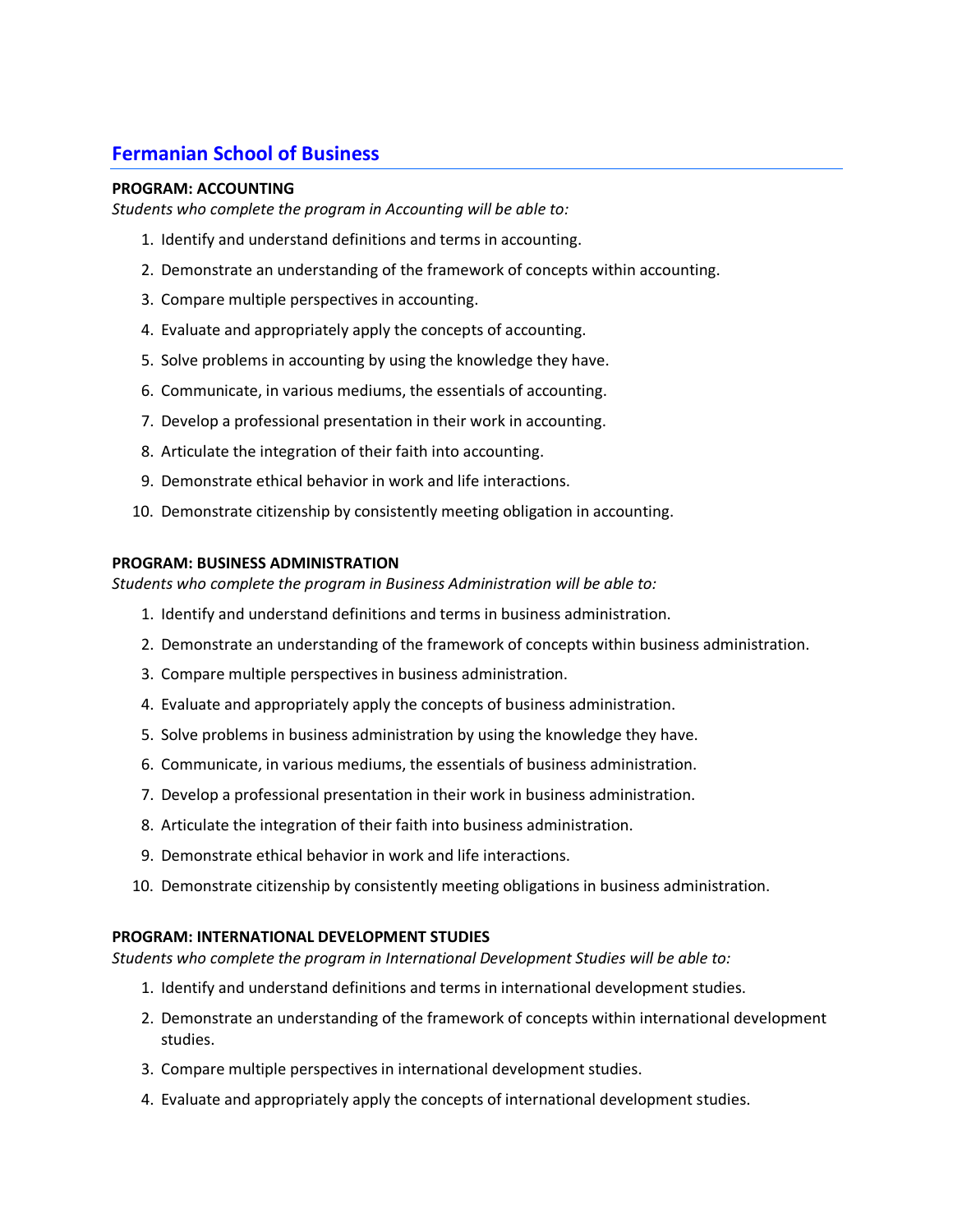# **Fermanian School of Business**

## **PROGRAM: ACCOUNTING**

*Students who complete the program in Accounting will be able to:*

- 1. Identify and understand definitions and terms in accounting.
- 2. Demonstrate an understanding of the framework of concepts within accounting.
- 3. Compare multiple perspectives in accounting.
- 4. Evaluate and appropriately apply the concepts of accounting.
- 5. Solve problems in accounting by using the knowledge they have.
- 6. Communicate, in various mediums, the essentials of accounting.
- 7. Develop a professional presentation in their work in accounting.
- 8. Articulate the integration of their faith into accounting.
- 9. Demonstrate ethical behavior in work and life interactions.
- 10. Demonstrate citizenship by consistently meeting obligation in accounting.

### **PROGRAM: BUSINESS ADMINISTRATION**

*Students who complete the program in Business Administration will be able to:*

- 1. Identify and understand definitions and terms in business administration.
- 2. Demonstrate an understanding of the framework of concepts within business administration.
- 3. Compare multiple perspectives in business administration.
- 4. Evaluate and appropriately apply the concepts of business administration.
- 5. Solve problems in business administration by using the knowledge they have.
- 6. Communicate, in various mediums, the essentials of business administration.
- 7. Develop a professional presentation in their work in business administration.
- 8. Articulate the integration of their faith into business administration.
- 9. Demonstrate ethical behavior in work and life interactions.
- 10. Demonstrate citizenship by consistently meeting obligations in business administration.

#### **PROGRAM: INTERNATIONAL DEVELOPMENT STUDIES**

*Students who complete the program in International Development Studies will be able to:*

- 1. Identify and understand definitions and terms in international development studies.
- 2. Demonstrate an understanding of the framework of concepts within international development studies.
- 3. Compare multiple perspectives in international development studies.
- 4. Evaluate and appropriately apply the concepts of international development studies.